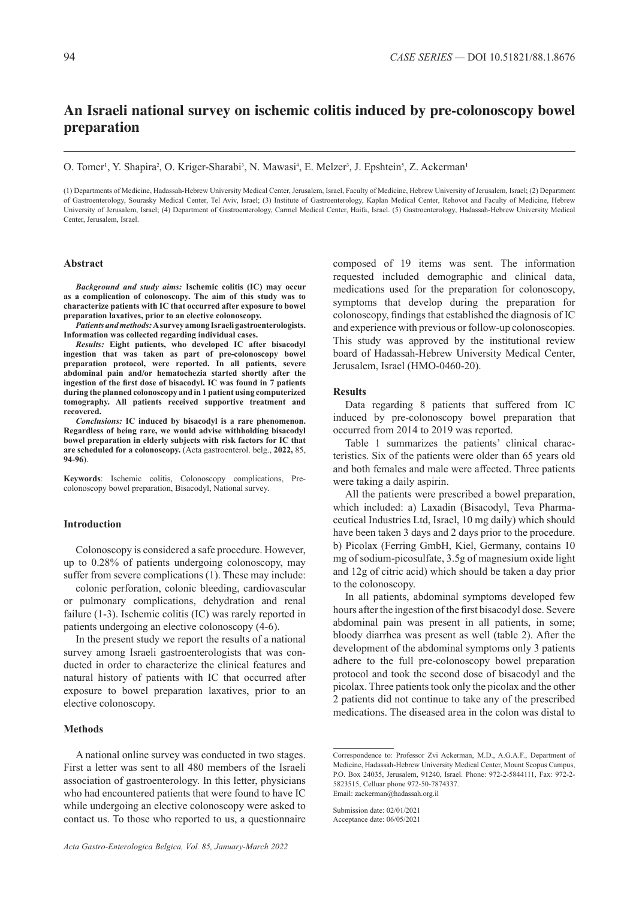# **An Israeli national survey on ischemic colitis induced by pre-colonoscopy bowel preparation**

O. Tomer<sup>1</sup>, Y. Shapira<sup>2</sup>, O. Kriger-Sharabi<sup>3</sup>, N. Mawasi<sup>4</sup>, E. Melzer<sup>3</sup>, J. Epshtein<sup>5</sup>, Z. Ackerman<sup>1</sup>

(1) Departments of Medicine, Hadassah-Hebrew University Medical Center, Jerusalem, Israel, Faculty of Medicine, Hebrew University of Jerusalem, Israel; (2) Department of Gastroenterology, Sourasky Medical Center, Tel Aviv, Israel; (3) Institute of Gastroenterology, Kaplan Medical Center, Rehovot and Faculty of Medicine, Hebrew University of Jerusalem, Israel; (4) Department of Gastroenterology, Carmel Medical Center, Haifa, Israel. (5) Gastroenterology, Hadassah-Hebrew University Medical Center, Jerusalem, Israel.

### **Abstract**

*Background and study aims:* **Ischemic colitis (IC) may occur as a complication of colonoscopy. The aim of this study was to characterize patients with IC that occurred after exposure to bowel preparation laxatives, prior to an elective colonoscopy.**

*Patients and methods:* **A survey among Israeli gastroenterologists. Information was collected regarding individual cases.** 

*Results:* **Eight patients, who developed IC after bisacodyl ingestion that was taken as part of pre-colonoscopy bowel preparation protocol, were reported. In all patients, severe abdominal pain and/or hematochezia started shortly after the ingestion of the first dose of bisacodyl. IC was found in 7 patients during the planned colonoscopy and in 1 patient using computerized tomography. All patients received supportive treatment and recovered.**

*Conclusions:* **IC induced by bisacodyl is a rare phenomenon. Regardless of being rare, we would advise withholding bisacodyl bowel preparation in elderly subjects with risk factors for IC that are scheduled for a colonoscopy.** (Acta gastroenterol. belg., **2022,** 85, **94-96**).

**Keywords**: Ischemic colitis, Colonoscopy complications, Precolonoscopy bowel preparation, Bisacodyl, National survey.

#### **Introduction**

Colonoscopy is considered a safe procedure. However, up to 0.28% of patients undergoing colonoscopy, may suffer from severe complications (1). These may include:

colonic perforation, colonic bleeding, cardiovascular or pulmonary complications, dehydration and renal failure (1-3). Ischemic colitis (IC) was rarely reported in patients undergoing an elective colonoscopy (4-6).

In the present study we report the results of a national survey among Israeli gastroenterologists that was conducted in order to characterize the clinical features and natural history of patients with IC that occurred after exposure to bowel preparation laxatives, prior to an elective colonoscopy.

## **Methods**

A national online survey was conducted in two stages. First a letter was sent to all 480 members of the Israeli association of gastroenterology. In this letter, physicians who had encountered patients that were found to have IC while undergoing an elective colonoscopy were asked to contact us. To those who reported to us, a questionnaire composed of 19 items was sent. The information requested included demographic and clinical data, medications used for the preparation for colonoscopy, symptoms that develop during the preparation for colonoscopy, findings that established the diagnosis of IC and experience with previous or follow-up colonoscopies. This study was approved by the institutional review board of Hadassah-Hebrew University Medical Center, Jerusalem, Israel (HMO-0460-20).

#### **Results**

Data regarding 8 patients that suffered from IC induced by pre-colonoscopy bowel preparation that occurred from 2014 to 2019 was reported.

Table 1 summarizes the patients' clinical characteristics. Six of the patients were older than 65 years old and both females and male were affected. Three patients were taking a daily aspirin.

All the patients were prescribed a bowel preparation, which included: a) Laxadin (Bisacodyl, Teva Pharmaceutical Industries Ltd, Israel, 10 mg daily) which should have been taken 3 days and 2 days prior to the procedure. b) Picolax (Ferring GmbH, Kiel, Germany, contains 10 mg of sodium-picosulfate, 3.5g of magnesium oxide light and 12g of citric acid) which should be taken a day prior to the colonoscopy.

In all patients, abdominal symptoms developed few hours after the ingestion of the first bisacodyl dose. Severe abdominal pain was present in all patients, in some; bloody diarrhea was present as well (table 2). After the development of the abdominal symptoms only 3 patients adhere to the full pre-colonoscopy bowel preparation protocol and took the second dose of bisacodyl and the picolax. Three patients took only the picolax and the other 2 patients did not continue to take any of the prescribed medications. The diseased area in the colon was distal to

Correspondence to: Professor Zvi Ackerman, M.D., A.G.A.F., Department of Medicine, Hadassah-Hebrew University Medical Center, Mount Scopus Campus, P.O. Box 24035, Jerusalem, 91240, Israel. Phone: 972-2-5844111, Fax: 972-2- 5823515, Celluar phone 972-50-7874337. Email: zackerman@hadassah.org.il

Submission date: 02/01/2021 Acceptance date: 06/05/2021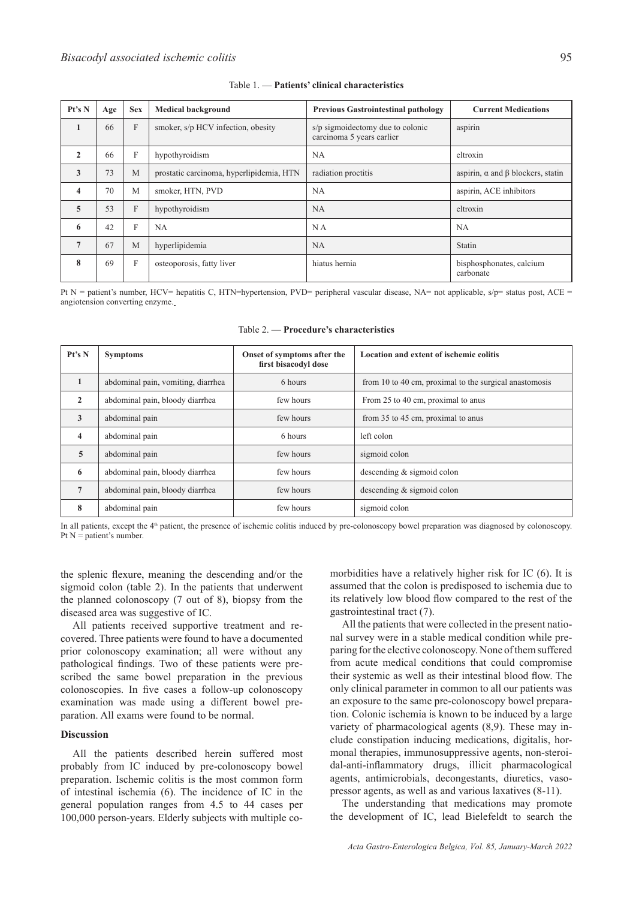| Pt's N                  | Age | <b>Sex</b> | <b>Medical background</b>                | <b>Previous Gastrointestinal pathology</b>                    | <b>Current Medications</b>                     |
|-------------------------|-----|------------|------------------------------------------|---------------------------------------------------------------|------------------------------------------------|
| 1                       | 66  | F          | smoker, s/p HCV infection, obesity       | s/p sigmoidectomy due to colonic<br>carcinoma 5 years earlier | aspirin                                        |
| $\overline{2}$          | 66  | F          | hypothyroidism                           | NA                                                            | eltroxin                                       |
| $\mathbf{3}$            | 73  | M          | prostatic carcinoma, hyperlipidemia, HTN | radiation proctitis                                           | aspirin, $\alpha$ and $\beta$ blockers, statin |
| $\overline{\mathbf{4}}$ | 70  | M          | smoker, HTN, PVD                         | NA                                                            | aspirin, ACE inhibitors                        |
| 5                       | 53  | F          | hypothyroidism                           | NA                                                            | eltroxin                                       |
| 6                       | 42  | F          | NA                                       | N <sub>A</sub>                                                | <b>NA</b>                                      |
| $\overline{7}$          | 67  | M          | hyperlipidemia                           | <b>NA</b>                                                     | Statin                                         |
| 8                       | 69  | F          | osteoporosis, fatty liver                | hiatus hernia                                                 | bisphosphonates, calcium<br>carbonate          |

#### Table 1. — **Patients' clinical characteristics**

Pt N = patient's number, HCV= hepatitis C, HTN=hypertension, PVD= peripheral vascular disease, NA= not applicable,  $s/p$ = status post, ACE = angiotension converting enzyme.

| Pt's N          | <b>Symptoms</b>                    | Onset of symptoms after the<br>first bisacodyl dose | Location and extent of ischemic colitis                |  |
|-----------------|------------------------------------|-----------------------------------------------------|--------------------------------------------------------|--|
| $\mathbf{1}$    | abdominal pain, vomiting, diarrhea | 6 hours                                             | from 10 to 40 cm, proximal to the surgical anastomosis |  |
| $\overline{2}$  | abdominal pain, bloody diarrhea    | few hours                                           | From 25 to 40 cm, proximal to anus                     |  |
| 3               | abdominal pain                     | few hours                                           | from 35 to 45 cm, proximal to anus                     |  |
| $\overline{4}$  | abdominal pain                     | 6 hours                                             | left colon                                             |  |
| $\overline{5}$  | abdominal pain                     | few hours                                           | sigmoid colon                                          |  |
| 6               | abdominal pain, bloody diarrhea    | few hours                                           | descending $&$ sigmoid colon                           |  |
| $7\phantom{.0}$ | abdominal pain, bloody diarrhea    | few hours                                           | descending $&$ sigmoid colon                           |  |
| 8               | abdominal pain                     | few hours                                           | sigmoid colon                                          |  |

Table 2. — **Procedure's characteristics**

In all patients, except the 4<sup>th</sup> patient, the presence of ischemic colitis induced by pre-colonoscopy bowel preparation was diagnosed by colonoscopy. Pt  $N =$  patient's number.

the splenic flexure, meaning the descending and/or the sigmoid colon (table 2). In the patients that underwent the planned colonoscopy (7 out of 8), biopsy from the diseased area was suggestive of IC.

All patients received supportive treatment and recovered. Three patients were found to have a documented prior colonoscopy examination; all were without any pathological findings. Two of these patients were prescribed the same bowel preparation in the previous colonoscopies. In five cases a follow-up colonoscopy examination was made using a different bowel preparation. All exams were found to be normal.

## **Discussion**

All the patients described herein suffered most probably from IC induced by pre-colonoscopy bowel preparation. Ischemic colitis is the most common form of intestinal ischemia (6). The incidence of IC in the general population ranges from 4.5 to 44 cases per 100,000 person-years. Elderly subjects with multiple comorbidities have a relatively higher risk for IC (6). It is assumed that the colon is predisposed to ischemia due to its relatively low blood flow compared to the rest of the gastrointestinal tract (7).

All the patients that were collected in the present national survey were in a stable medical condition while preparing for the elective colonoscopy. None of them suffered from acute medical conditions that could compromise their systemic as well as their intestinal blood flow. The only clinical parameter in common to all our patients was an exposure to the same pre-colonoscopy bowel preparation. Colonic ischemia is known to be induced by a large variety of pharmacological agents (8,9). These may include constipation inducing medications, digitalis, hormonal therapies, immunosuppressive agents, non-steroidal-anti-inflammatory drugs, illicit pharmacological agents, antimicrobials, decongestants, diuretics, vasopressor agents, as well as and various laxatives (8-11).

The understanding that medications may promote the development of IC, lead Bielefeldt to search the